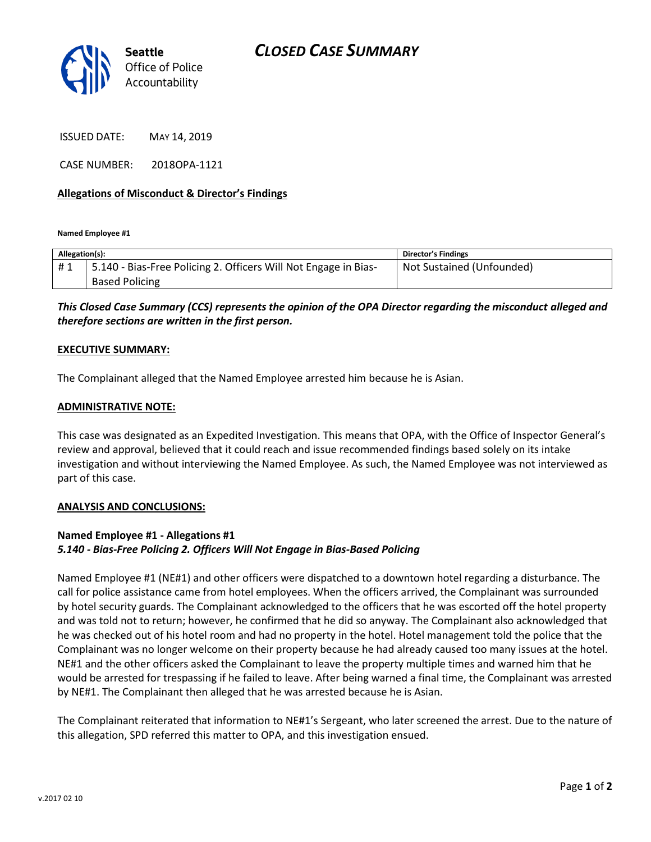

ISSUED DATE: MAY 14, 2019

CASE NUMBER: 2018OPA-1121

### **Allegations of Misconduct & Director's Findings**

**Named Employee #1**

| Allegation(s): |                                                                 | Director's Findings       |
|----------------|-----------------------------------------------------------------|---------------------------|
| #1             | 5.140 - Bias-Free Policing 2. Officers Will Not Engage in Bias- | Not Sustained (Unfounded) |
|                | <b>Based Policing</b>                                           |                           |

*This Closed Case Summary (CCS) represents the opinion of the OPA Director regarding the misconduct alleged and therefore sections are written in the first person.* 

#### **EXECUTIVE SUMMARY:**

The Complainant alleged that the Named Employee arrested him because he is Asian.

#### **ADMINISTRATIVE NOTE:**

This case was designated as an Expedited Investigation. This means that OPA, with the Office of Inspector General's review and approval, believed that it could reach and issue recommended findings based solely on its intake investigation and without interviewing the Named Employee. As such, the Named Employee was not interviewed as part of this case.

#### **ANALYSIS AND CONCLUSIONS:**

## **Named Employee #1 - Allegations #1** *5.140 - Bias-Free Policing 2. Officers Will Not Engage in Bias-Based Policing*

Named Employee #1 (NE#1) and other officers were dispatched to a downtown hotel regarding a disturbance. The call for police assistance came from hotel employees. When the officers arrived, the Complainant was surrounded by hotel security guards. The Complainant acknowledged to the officers that he was escorted off the hotel property and was told not to return; however, he confirmed that he did so anyway. The Complainant also acknowledged that he was checked out of his hotel room and had no property in the hotel. Hotel management told the police that the Complainant was no longer welcome on their property because he had already caused too many issues at the hotel. NE#1 and the other officers asked the Complainant to leave the property multiple times and warned him that he would be arrested for trespassing if he failed to leave. After being warned a final time, the Complainant was arrested by NE#1. The Complainant then alleged that he was arrested because he is Asian.

The Complainant reiterated that information to NE#1's Sergeant, who later screened the arrest. Due to the nature of this allegation, SPD referred this matter to OPA, and this investigation ensued.